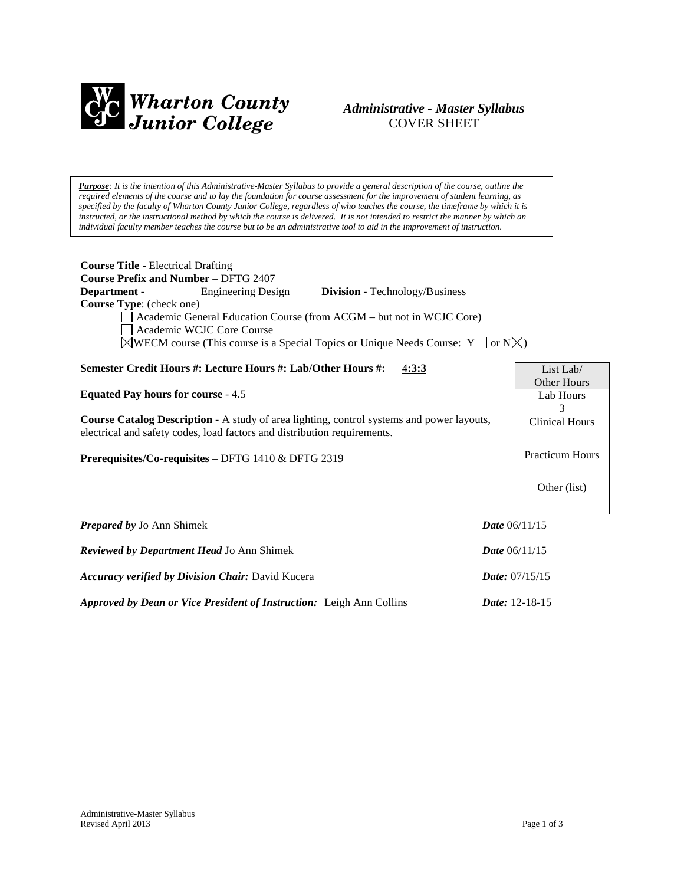

# *Administrative - Master Syllabus*  COVER SHEET

*Purpose: It is the intention of this Administrative-Master Syllabus to provide a general description of the course, outline the required elements of the course and to lay the foundation for course assessment for the improvement of student learning, as specified by the faculty of Wharton County Junior College, regardless of who teaches the course, the timeframe by which it is instructed, or the instructional method by which the course is delivered. It is not intended to restrict the manner by which an individual faculty member teaches the course but to be an administrative tool to aid in the improvement of instruction.*

| <b>Course Title - Electrical Drafting</b>                                                                                                                                                                                                                                                                                                                                          |                                      |  |
|------------------------------------------------------------------------------------------------------------------------------------------------------------------------------------------------------------------------------------------------------------------------------------------------------------------------------------------------------------------------------------|--------------------------------------|--|
| <b>Course Prefix and Number - DFTG 2407</b><br>Department -<br><b>Engineering Design</b><br><b>Division</b> - Technology/Business<br>Course Type: (check one)<br>Academic General Education Course (from ACGM – but not in WCJC Core)<br>Academic WCJC Core Course<br>$\boxtimes$ WECM course (This course is a Special Topics or Unique Needs Course: Y $\Box$ or N $\boxtimes$ ) |                                      |  |
| Semester Credit Hours #: Lecture Hours #: Lab/Other Hours #:<br>4:3:3                                                                                                                                                                                                                                                                                                              | List Lab/                            |  |
| <b>Equated Pay hours for course - 4.5</b>                                                                                                                                                                                                                                                                                                                                          | <b>Other Hours</b><br>Lab Hours<br>3 |  |
| <b>Course Catalog Description</b> - A study of area lighting, control systems and power layouts,<br>electrical and safety codes, load factors and distribution requirements.                                                                                                                                                                                                       | <b>Clinical Hours</b>                |  |
| Prerequisites/Co-requisites - DFTG 1410 & DFTG 2319                                                                                                                                                                                                                                                                                                                                | <b>Practicum Hours</b>               |  |
|                                                                                                                                                                                                                                                                                                                                                                                    | Other (list)                         |  |
| <b>Prepared by Jo Ann Shimek</b>                                                                                                                                                                                                                                                                                                                                                   | <i>Date</i> $06/11/15$               |  |
| Reviewed by Department Head Jo Ann Shimek                                                                                                                                                                                                                                                                                                                                          | <b>Date</b> 06/11/15                 |  |
| Accuracy verified by Division Chair: David Kucera                                                                                                                                                                                                                                                                                                                                  | <i>Date:</i> $07/15/15$              |  |
| Approved by Dean or Vice President of Instruction: Leigh Ann Collins                                                                                                                                                                                                                                                                                                               | Date: 12-18-15                       |  |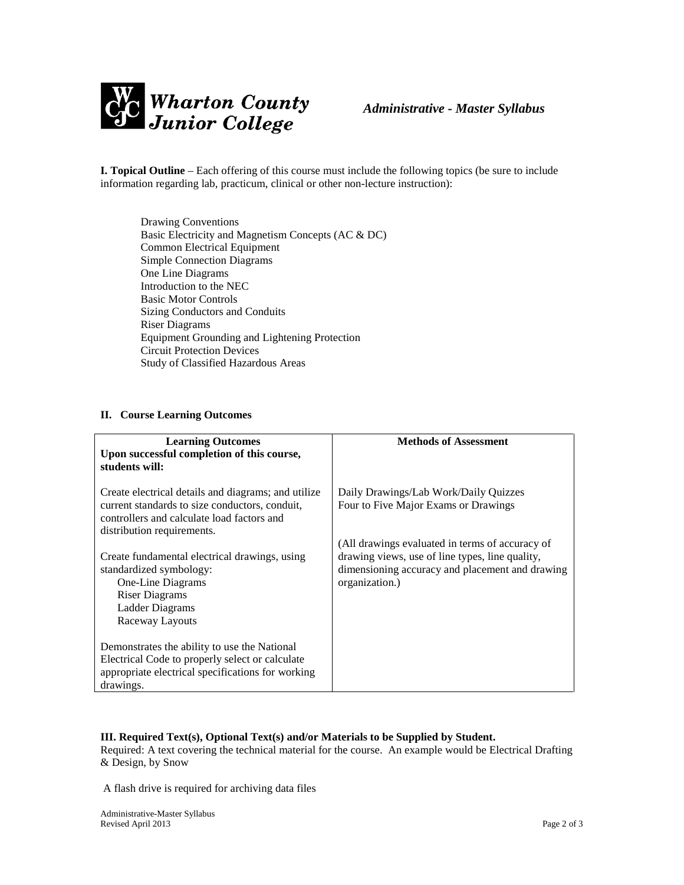

**I. Topical Outline** – Each offering of this course must include the following topics (be sure to include information regarding lab, practicum, clinical or other non-lecture instruction):

Drawing Conventions Basic Electricity and Magnetism Concepts (AC & DC) Common Electrical Equipment Simple Connection Diagrams One Line Diagrams Introduction to the NEC Basic Motor Controls Sizing Conductors and Conduits Riser Diagrams Equipment Grounding and Lightening Protection Circuit Protection Devices Study of Classified Hazardous Areas

## **II. Course Learning Outcomes**

| <b>Learning Outcomes</b><br>Upon successful completion of this course,<br>students will:                                                                                          | <b>Methods of Assessment</b>                                                                                                                                            |
|-----------------------------------------------------------------------------------------------------------------------------------------------------------------------------------|-------------------------------------------------------------------------------------------------------------------------------------------------------------------------|
| Create electrical details and diagrams; and utilize<br>current standards to size conductors, conduit,<br>controllers and calculate load factors and<br>distribution requirements. | Daily Drawings/Lab Work/Daily Quizzes<br>Four to Five Major Exams or Drawings                                                                                           |
| Create fundamental electrical drawings, using<br>standardized symbology:<br>One-Line Diagrams<br><b>Riser Diagrams</b><br>Ladder Diagrams<br>Raceway Layouts                      | (All drawings evaluated in terms of accuracy of<br>drawing views, use of line types, line quality,<br>dimensioning accuracy and placement and drawing<br>organization.) |
| Demonstrates the ability to use the National<br>Electrical Code to properly select or calculate<br>appropriate electrical specifications for working<br>drawings.                 |                                                                                                                                                                         |

## **III. Required Text(s), Optional Text(s) and/or Materials to be Supplied by Student.**

Required: A text covering the technical material for the course. An example would be Electrical Drafting & Design, by Snow

A flash drive is required for archiving data files